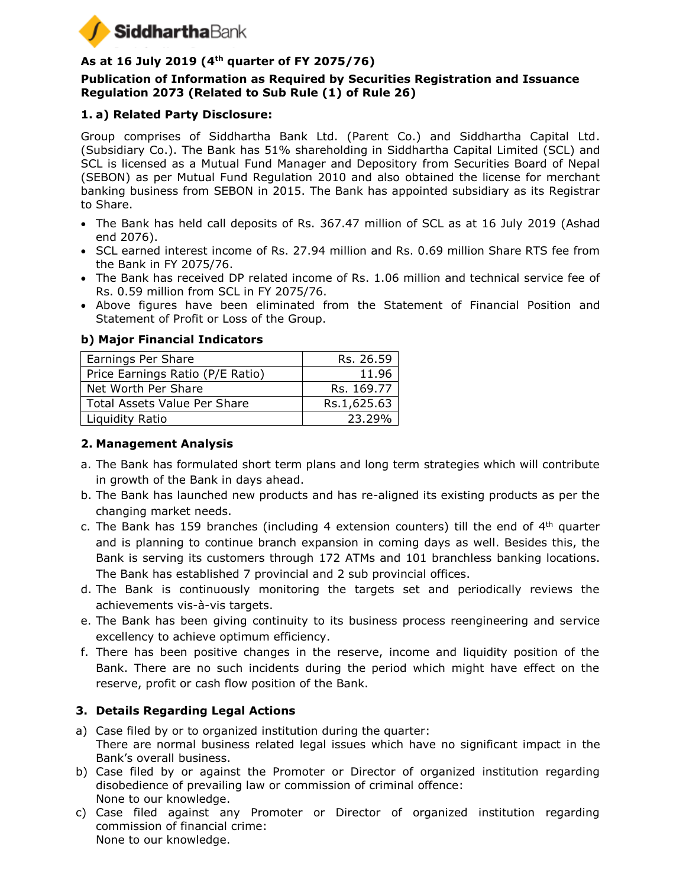

# **As at 16 July 2019 (4th quarter of FY 2075/76)**

### **Publication of Information as Required by Securities Registration and Issuance Regulation 2073 (Related to Sub Rule (1) of Rule 26)**

# **1. a) Related Party Disclosure:**

Group comprises of Siddhartha Bank Ltd. (Parent Co.) and Siddhartha Capital Ltd. (Subsidiary Co.). The Bank has 51% shareholding in Siddhartha Capital Limited (SCL) and SCL is licensed as a Mutual Fund Manager and Depository from Securities Board of Nepal (SEBON) as per Mutual Fund Regulation 2010 and also obtained the license for merchant banking business from SEBON in 2015. The Bank has appointed subsidiary as its Registrar to Share.

- The Bank has held call deposits of Rs. 367.47 million of SCL as at 16 July 2019 (Ashad end 2076).
- SCL earned interest income of Rs. 27.94 million and Rs. 0.69 million Share RTS fee from the Bank in FY 2075/76.
- The Bank has received DP related income of Rs. 1.06 million and technical service fee of Rs. 0.59 million from SCL in FY 2075/76.
- Above figures have been eliminated from the Statement of Financial Position and Statement of Profit or Loss of the Group.

### **b) Major Financial Indicators**

| Earnings Per Share                  | Rs. 26.59   |
|-------------------------------------|-------------|
| Price Earnings Ratio (P/E Ratio)    | 11.96       |
| Net Worth Per Share                 | Rs. 169.77  |
| <b>Total Assets Value Per Share</b> | Rs.1,625.63 |
| Liquidity Ratio                     | 23.29%      |

### **2. Management Analysis**

- a. The Bank has formulated short term plans and long term strategies which will contribute in growth of the Bank in days ahead.
- b. The Bank has launched new products and has re-aligned its existing products as per the changing market needs.
- c. The Bank has 159 branches (including 4 extension counters) till the end of  $4<sup>th</sup>$  quarter and is planning to continue branch expansion in coming days as well. Besides this, the Bank is serving its customers through 172 ATMs and 101 branchless banking locations. The Bank has established 7 provincial and 2 sub provincial offices.
- d. The Bank is continuously monitoring the targets set and periodically reviews the achievements vis-à-vis targets.
- e. The Bank has been giving continuity to its business process reengineering and service excellency to achieve optimum efficiency.
- f. There has been positive changes in the reserve, income and liquidity position of the Bank. There are no such incidents during the period which might have effect on the reserve, profit or cash flow position of the Bank.

# **3. Details Regarding Legal Actions**

- a) Case filed by or to organized institution during the quarter: There are normal business related legal issues which have no significant impact in the Bank's overall business.
- b) Case filed by or against the Promoter or Director of organized institution regarding disobedience of prevailing law or commission of criminal offence: None to our knowledge.
- c) Case filed against any Promoter or Director of organized institution regarding commission of financial crime: None to our knowledge.